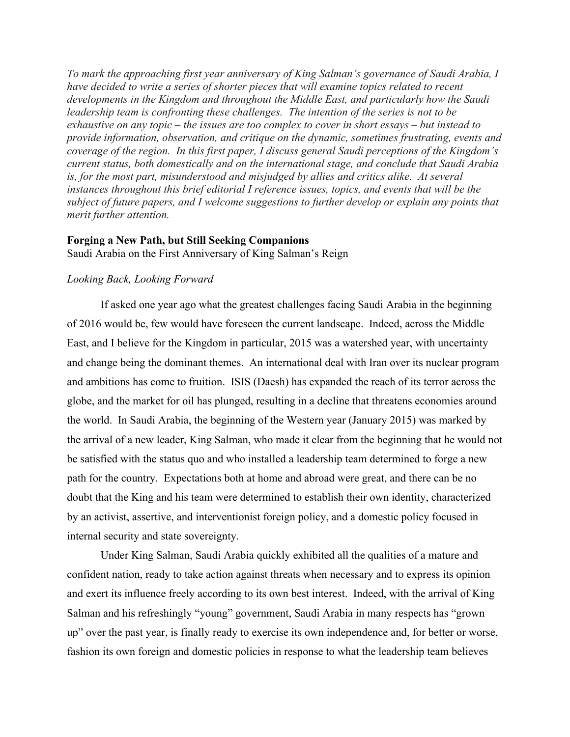*To mark the approaching first year anniversary of King Salman's governance of Saudi Arabia, I have decided to write a series of shorter pieces that will examine topics related to recent developments in the Kingdom and throughout the Middle East, and particularly how the Saudi leadership team is confronting these challenges. The intention of the series is not to be exhaustive on any topic – the issues are too complex to cover in short essays – but instead to provide information, observation, and critique on the dynamic, sometimes frustrating, events and coverage of the region. In this first paper, I discuss general Saudi perceptions of the Kingdom's current status, both domestically and on the international stage, and conclude that Saudi Arabia is, for the most part, misunderstood and misjudged by allies and critics alike. At several instances throughout this brief editorial I reference issues, topics, and events that will be the subject of future papers, and I welcome suggestions to further develop or explain any points that merit further attention.*

## **Forging a New Path, but Still Seeking Companions**

Saudi Arabia on the First Anniversary of King Salman's Reign

## *Looking Back, Looking Forward*

If asked one year ago what the greatest challenges facing Saudi Arabia in the beginning of 2016 would be, few would have foreseen the current landscape. Indeed, across the Middle East, and I believe for the Kingdom in particular, 2015 was a watershed year, with uncertainty and change being the dominant themes. An international deal with Iran over its nuclear program and ambitions has come to fruition. ISIS (Daesh) has expanded the reach of its terror across the globe, and the market for oil has plunged, resulting in a decline that threatens economies around the world. In Saudi Arabia, the beginning of the Western year (January 2015) was marked by the arrival of a new leader, King Salman, who made it clear from the beginning that he would not be satisfied with the status quo and who installed a leadership team determined to forge a new path for the country. Expectations both at home and abroad were great, and there can be no doubt that the King and his team were determined to establish their own identity, characterized by an activist, assertive, and interventionist foreign policy, and a domestic policy focused in internal security and state sovereignty.

Under King Salman, Saudi Arabia quickly exhibited all the qualities of a mature and confident nation, ready to take action against threats when necessary and to express its opinion and exert its influence freely according to its own best interest. Indeed, with the arrival of King Salman and his refreshingly "young" government, Saudi Arabia in many respects has "grown up" over the past year, is finally ready to exercise its own independence and, for better or worse, fashion its own foreign and domestic policies in response to what the leadership team believes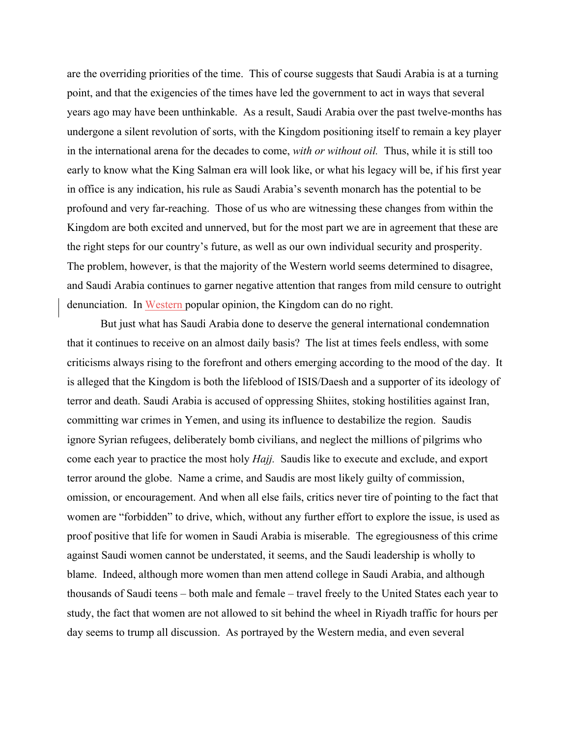are the overriding priorities of the time. This of course suggests that Saudi Arabia is at a turning point, and that the exigencies of the times have led the government to act in ways that several years ago may have been unthinkable. As a result, Saudi Arabia over the past twelve-months has undergone a silent revolution of sorts, with the Kingdom positioning itself to remain a key player in the international arena for the decades to come, *with or without oil.* Thus, while it is still too early to know what the King Salman era will look like, or what his legacy will be, if his first year in office is any indication, his rule as Saudi Arabia's seventh monarch has the potential to be profound and very far-reaching. Those of us who are witnessing these changes from within the Kingdom are both excited and unnerved, but for the most part we are in agreement that these are the right steps for our country's future, as well as our own individual security and prosperity. The problem, however, is that the majority of the Western world seems determined to disagree, and Saudi Arabia continues to garner negative attention that ranges from mild censure to outright denunciation. In Western popular opinion, the Kingdom can do no right.

But just what has Saudi Arabia done to deserve the general international condemnation that it continues to receive on an almost daily basis? The list at times feels endless, with some criticisms always rising to the forefront and others emerging according to the mood of the day. It is alleged that the Kingdom is both the lifeblood of ISIS/Daesh and a supporter of its ideology of terror and death. Saudi Arabia is accused of oppressing Shiites, stoking hostilities against Iran, committing war crimes in Yemen, and using its influence to destabilize the region. Saudis ignore Syrian refugees, deliberately bomb civilians, and neglect the millions of pilgrims who come each year to practice the most holy *Hajj.* Saudis like to execute and exclude, and export terror around the globe. Name a crime, and Saudis are most likely guilty of commission, omission, or encouragement. And when all else fails, critics never tire of pointing to the fact that women are "forbidden" to drive, which, without any further effort to explore the issue, is used as proof positive that life for women in Saudi Arabia is miserable. The egregiousness of this crime against Saudi women cannot be understated, it seems, and the Saudi leadership is wholly to blame. Indeed, although more women than men attend college in Saudi Arabia, and although thousands of Saudi teens – both male and female – travel freely to the United States each year to study, the fact that women are not allowed to sit behind the wheel in Riyadh traffic for hours per day seems to trump all discussion. As portrayed by the Western media, and even several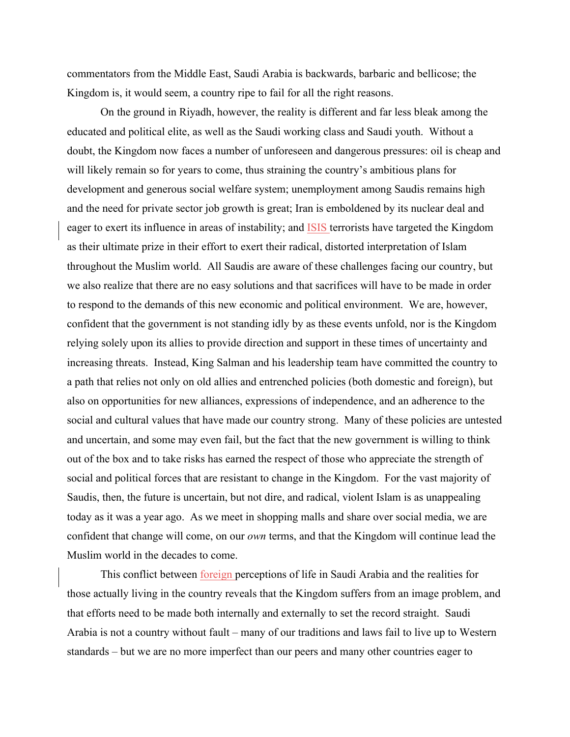commentators from the Middle East, Saudi Arabia is backwards, barbaric and bellicose; the Kingdom is, it would seem, a country ripe to fail for all the right reasons.

On the ground in Riyadh, however, the reality is different and far less bleak among the educated and political elite, as well as the Saudi working class and Saudi youth. Without a doubt, the Kingdom now faces a number of unforeseen and dangerous pressures: oil is cheap and will likely remain so for years to come, thus straining the country's ambitious plans for development and generous social welfare system; unemployment among Saudis remains high and the need for private sector job growth is great; Iran is emboldened by its nuclear deal and eager to exert its influence in areas of instability; and ISIS terrorists have targeted the Kingdom as their ultimate prize in their effort to exert their radical, distorted interpretation of Islam throughout the Muslim world. All Saudis are aware of these challenges facing our country, but we also realize that there are no easy solutions and that sacrifices will have to be made in order to respond to the demands of this new economic and political environment. We are, however, confident that the government is not standing idly by as these events unfold, nor is the Kingdom relying solely upon its allies to provide direction and support in these times of uncertainty and increasing threats. Instead, King Salman and his leadership team have committed the country to a path that relies not only on old allies and entrenched policies (both domestic and foreign), but also on opportunities for new alliances, expressions of independence, and an adherence to the social and cultural values that have made our country strong. Many of these policies are untested and uncertain, and some may even fail, but the fact that the new government is willing to think out of the box and to take risks has earned the respect of those who appreciate the strength of social and political forces that are resistant to change in the Kingdom. For the vast majority of Saudis, then, the future is uncertain, but not dire, and radical, violent Islam is as unappealing today as it was a year ago. As we meet in shopping malls and share over social media, we are confident that change will come, on our *own* terms, and that the Kingdom will continue lead the Muslim world in the decades to come.

This conflict between foreign perceptions of life in Saudi Arabia and the realities for those actually living in the country reveals that the Kingdom suffers from an image problem, and that efforts need to be made both internally and externally to set the record straight. Saudi Arabia is not a country without fault – many of our traditions and laws fail to live up to Western standards – but we are no more imperfect than our peers and many other countries eager to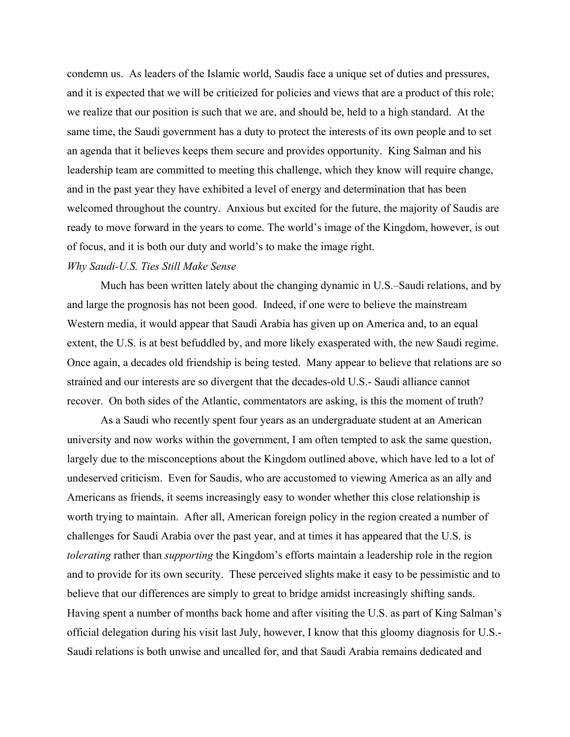condemn us. As leaders of the Islamic world, Saudis face a unique set of duties and pressures, and it is expected that we will be criticized for policies and views that are a product of this role; we realize that our position is such that we are, and should be, held to a high standard. At the same time, the Saudi government has a duty to protect the interests of its own people and to set an agenda that it believes keeps them secure and provides opportunity. King Salman and his leadership team are committed to meeting this challenge, which they know will require change, and in the past year they have exhibited a level of energy and determination that has been welcomed throughout the country. Anxious but excited for the future, the majority of Saudis are ready to move forward in the years to come. The world's image of the Kingdom, however, is out of focus, and it is both our duty and world's to make the image right.

## *Why Saudi-U.S. Ties Still Make Sense*

Much has been written lately about the changing dynamic in U.S.–Saudi relations, and by and large the prognosis has not been good. Indeed, if one were to believe the mainstream Western media, it would appear that Saudi Arabia has given up on America and, to an equal extent, the U.S. is at best befuddled by, and more likely exasperated with, the new Saudi regime. Once again, a decades old friendship is being tested. Many appear to believe that relations are so strained and our interests are so divergent that the decades-old U.S.- Saudi alliance cannot recover. On both sides of the Atlantic, commentators are asking, is this the moment of truth?

As a Saudi who recently spent four years as an undergraduate student at an American university and now works within the government, I am often tempted to ask the same question, largely due to the misconceptions about the Kingdom outlined above, which have led to a lot of undeserved criticism. Even for Saudis, who are accustomed to viewing America as an ally and Americans as friends, it seems increasingly easy to wonder whether this close relationship is worth trying to maintain. After all, American foreign policy in the region created a number of challenges for Saudi Arabia over the past year, and at times it has appeared that the U.S. is *tolerating* rather than *supporting* the Kingdom's efforts maintain a leadership role in the region and to provide for its own security. These perceived slights make it easy to be pessimistic and to believe that our differences are simply to great to bridge amidst increasingly shifting sands. Having spent a number of months back home and after visiting the U.S. as part of King Salman's official delegation during his visit last July, however, I know that this gloomy diagnosis for U.S.- Saudi relations is both unwise and uncalled for, and that Saudi Arabia remains dedicated and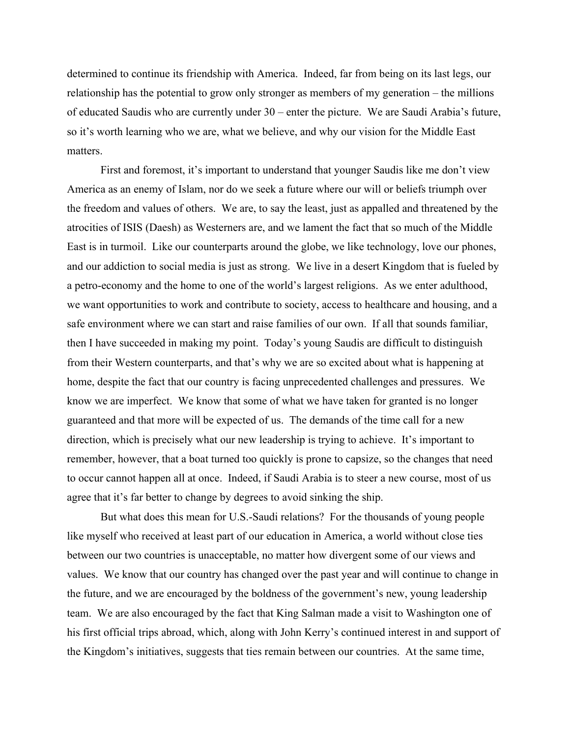determined to continue its friendship with America. Indeed, far from being on its last legs, our relationship has the potential to grow only stronger as members of my generation – the millions of educated Saudis who are currently under 30 – enter the picture. We are Saudi Arabia's future, so it's worth learning who we are, what we believe, and why our vision for the Middle East matters.

First and foremost, it's important to understand that younger Saudis like me don't view America as an enemy of Islam, nor do we seek a future where our will or beliefs triumph over the freedom and values of others. We are, to say the least, just as appalled and threatened by the atrocities of ISIS (Daesh) as Westerners are, and we lament the fact that so much of the Middle East is in turmoil. Like our counterparts around the globe, we like technology, love our phones, and our addiction to social media is just as strong. We live in a desert Kingdom that is fueled by a petro-economy and the home to one of the world's largest religions. As we enter adulthood, we want opportunities to work and contribute to society, access to healthcare and housing, and a safe environment where we can start and raise families of our own. If all that sounds familiar, then I have succeeded in making my point. Today's young Saudis are difficult to distinguish from their Western counterparts, and that's why we are so excited about what is happening at home, despite the fact that our country is facing unprecedented challenges and pressures. We know we are imperfect. We know that some of what we have taken for granted is no longer guaranteed and that more will be expected of us. The demands of the time call for a new direction, which is precisely what our new leadership is trying to achieve. It's important to remember, however, that a boat turned too quickly is prone to capsize, so the changes that need to occur cannot happen all at once. Indeed, if Saudi Arabia is to steer a new course, most of us agree that it's far better to change by degrees to avoid sinking the ship.

But what does this mean for U.S.-Saudi relations? For the thousands of young people like myself who received at least part of our education in America, a world without close ties between our two countries is unacceptable, no matter how divergent some of our views and values. We know that our country has changed over the past year and will continue to change in the future, and we are encouraged by the boldness of the government's new, young leadership team. We are also encouraged by the fact that King Salman made a visit to Washington one of his first official trips abroad, which, along with John Kerry's continued interest in and support of the Kingdom's initiatives, suggests that ties remain between our countries. At the same time,